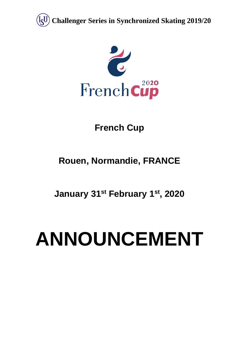



# **French Cup**

# **Rouen, Normandie, FRANCE**

**January 31st February 1st, 2020**

# **ANNOUNCEMENT**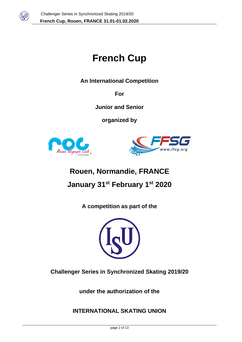

# **French Cup**

**An International Competition** 

**For**

**Junior and Senior**

**organized by**





# **Rouen, Normandie, FRANCE January 31st February 1st 2020**

**A competition as part of the**



**Challenger Series in Synchronized Skating 2019/20**

**under the authorization of the** 

**INTERNATIONAL SKATING UNION**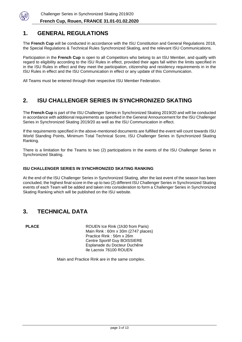

# **1. GENERAL REGULATIONS**

The **French Cup** will be conducted in accordance with the ISU Constitution and General Regulations 2018, the Special Regulations & Technical Rules Synchronized Skating, and the relevant ISU Communications.

Participation in the **French Cup** is open to all Competitors who belong to an ISU Member, and qualify with regard to eligibility according to the ISU Rules in effect, provided their ages fall within the limits specified in in the ISU Rules in effect and they meet the participation, citizenship and residency requirements in in the ISU Rules in effect and the ISU Communication in effect or any update of this Communication.

All Teams must be entered through their respective ISU Member Federation.

# **2. ISU CHALLENGER SERIES IN SYNCHRONIZED SKATING**

The **French Cup** is part of the ISU Challenger Series in Synchronized Skating 2019/20 and will be conducted in accordance with additional requirements as specified in the General Announcement for the ISU Challenger Series in Synchronized Skating 2019/20 as well as the ISU Communication in effect.

If the requirements specified in the above-mentioned documents are fulfilled the event will count towards ISU World Standing Points, Minimum Total Technical Score, ISU Challenger Series in Synchronized Skating Ranking.

There is a limitation for the Teams to two (2) participations in the events of the ISU Challenger Series in Synchronized Skating.

#### **ISU CHALLENGER SERIES IN SYNCHRONIZED SKATING RANKING**

At the end of the ISU Challenger Series in Synchronized Skating, after the last event of the season has been concluded, the highest final score in the up to two (2) different ISU Challenger Series in Synchronized Skating events of each Team will be added and taken into consideration to form a Challenger Series in Synchronized Skating Ranking which will be published on the ISU website.

# **3. TECHNICAL DATA**

**PLACE** ROUEN Ice Rink (1h30 from Paris) Main Rink : 60m x 30m (2747 places) Practice Rink : 56m x 26m Centre Sportif Guy BOISSIERE Esplanade du Docteur Duchêne Ile Lacroix 76100 ROUEN

Main and Practice Rink are in the same complex.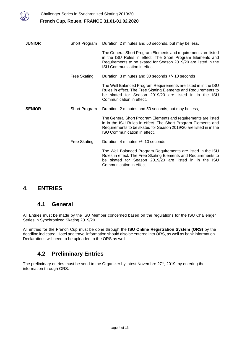

| <b>JUNIOR</b> | Short Program       | Duration: 2 minutes and 50 seconds, but may be less,                                                                                                                                                                                  |  |
|---------------|---------------------|---------------------------------------------------------------------------------------------------------------------------------------------------------------------------------------------------------------------------------------|--|
|               |                     | The General Short Program Elements and requirements are listed<br>in the ISU Rules in effect. The Short Program Elements and<br>Requirements to be skated for Season 2019/20 are listed in the<br><b>ISU Communication in effect.</b> |  |
|               | <b>Free Skating</b> | Duration: 3 minutes and 30 seconds +/- 10 seconds                                                                                                                                                                                     |  |
|               |                     | The Well Balanced Program Requirements are listed in in the ISU<br>Rules in effect. The Free Skating Elements and Requirements to<br>be skated for Season 2019/20 are listed in in the ISU<br>Communication in effect.                |  |
| <b>SENIOR</b> | Short Program       | Duration: 2 minutes and 50 seconds, but may be less,                                                                                                                                                                                  |  |
|               |                     | The General Short Program Elements and requirements are listed<br>in in the ISU Rules in effect. The Short Program Elements and<br>Requirements to be skated for Season 2019/20 are listed in in the<br>ISU Communication in effect.  |  |
|               | Free Skating        | Duration: 4 minutes +/- 10 seconds                                                                                                                                                                                                    |  |
|               |                     | The Well Balanced Program Requirements are listed in the ISU<br>Rules in effect. The Free Skating Elements and Requirements to<br>be skated for Season 2019/20 are listed in in the ISU                                               |  |

# **4. ENTRIES**

# **4.1 General**

All Entries must be made by the ISU Member concerned based on the regulations for the ISU Challenger Series in Synchronized Skating 2019/20.

All entries for the French Cup must be done through the **ISU Online Registration System (ORS)** by the deadline indicated. Hotel and travel information should also be entered into ORS, as well as bank information. Declarations will need to be uploaded to the ORS as well.

# **4.2 Preliminary Entries**

The preliminary entries must be send to the Organizer by latest Novembre 27<sup>th</sup>, 2019, by entering the information through ORS.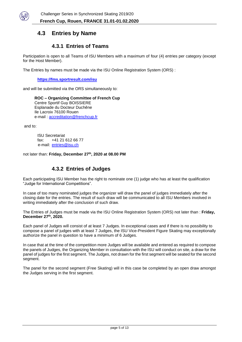

# **4.3 Entries by Name**

## **4.3.1 Entries of Teams**

Participation is open to all Teams of ISU Members with a maximum of four (4) entries per category (except for the Host Member).

The Entries by names must be made via the ISU Online Registration System (ORS) :

**<https://fms.sportresult.com/isu>**

and will be submitted via the ORS simultaneously to:

**ROC – Organizing Committee of French Cup** Centre Sportif Guy BOISSIERE Esplanade du Docteur Duchêne Ile Lacroix 76100 Rouen e-mail : [accreditation@frenchcup.fr](mailto:accreditation@frenchcup.fr)

and to:

ISU Secretariat fax: +41 21 612 66 77 e-mail: [entries@isu.ch](mailto:entries@isu.ch)

not later than: **Friday, December 27th , 2020 at 08.00 PM**

### **4.3.2 Entries of Judges**

Each participating ISU Member has the right to nominate one (1) judge who has at least the qualification "Judge for International Competitions".

In case of too many nominated judges the organizer will draw the panel of judges immediately after the closing date for the entries. The result of such draw will be communicated to all ISU Members involved in writing immediately after the conclusion of such draw.

The Entries of Judges must be made via the ISU Online Registration System (ORS) not later than : **Friday, December 27th, 2020.**

Each panel of Judges will consist of at least 7 Judges. In exceptional cases and if there is no possibility to compose a panel of judges with at least 7 Judges, the ISU Vice-President Figure Skating may exceptionally authorize the panel in question to have a minimum of 6 Judges.

In case that at the time of the competition more Judges will be available and entered as required to compose the panels of Judges, the Organizing Member in consultation with the ISU will conduct on site, a draw for the panel of judges for the first segment. The Judges, not drawn for the first segment will be seated for the second segment.

The panel for the second segment (Free Skating) will in this case be completed by an open draw amongst the Judges serving in the first segment.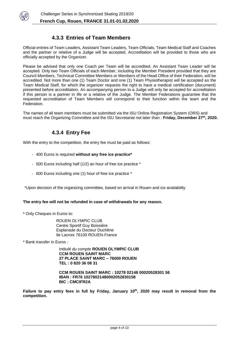

## **4.3.3 Entries of Team Members**

Official entries of Team Leaders, Assistant Team Leaders, Team Officials, Team Medical Staff and Coaches and the partner or relative of a Judge will be accepted. Accreditation will be provided to those who are officially accepted by the Organizer.

Please be advised that only one Coach per Team will be accredited. An Assistant Team Leader will be accepted. Only two Team Officials of each Member, including the Member President provided that they are Council Members, Technical Committee Members or Members of the Head Office of their Federation, will be accredited. Not more than one (1) Team Doctor and one (1) Team Physiotherapist will be accepted as the Team Medical Staff, for which the organizer requests the right to have a medical certification (document) presented before accreditation. An accompanying person to a Judge will only be accepted for accreditation if this person is a partner in life or a relative of the Judge. The Member Federations guarantee that the requested accreditation of Team Members will correspond to their function within the team and the Federation.

The names of all team members must be submitted via the ISU Online Registration System (ORS) and must reach the Organizing Committee and the ISU Secretariat not later than : **Friday, December 27th , 2020.**

## **4.3.4 Entry Fee**

With the entry to the competition, the entry fee must be paid as follows:

- 400 Euros is required **without any free ice practice\***
- 500 Euros including half (1/2) an hour of free ice practice \*
- 600 Euros including one (1) hour of free ice practice \*

\*Upon decision of the organizing committee, based on arrival in Rouen and ice availability

#### **The entry fee will not be refunded in case of withdrawals for any reason.**

\* Only Cheques in Euros to:

ROUEN OLYMPIC CLUB Centre Sportif Guy Boissière Esplanade du Docteur Duchêne Ile Lacroix 76100 ROUEN-France

\* Bank transfer in Euros :

*Intitulé du compte* **ROUEN OLYMPIC CLUB CCM ROUEN SAINT MARC 27 PLACE SAINT MARC – 76000 ROUEN TEL : 0 820 36 08 31**

**CCM ROUEN SAINT MARC : 10278 02148 00020528301 58 IBAN : FR76 10278021480002052830158 BIC : CMCIFR2A**

**Failure to pay entry fees in full by Friday, January 10th, 2020 may result in removal from the competition.**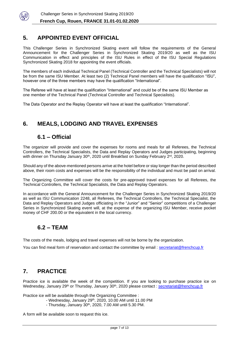

# **5. APPOINTED EVENT OFFICIAL**

This Challenger Series in Synchronized Skating event will follow the requirements of the General Announcement for the Challenger Series in Synchronized Skating 2019/20 as well as the ISU Communication in effect and principles of the ISU Rules in effect of the ISU Special Regulations Synchronized Skating 2018 for appointing the event officials.

The members of each individual Technical Panel (Technical Controller and the Technical Specialists) will not be from the same ISU Member. At least two (2) Technical Panel members will have the qualification "ISU", however one of the three members may have the qualification "International".

The Referee will have at least the qualification "International" and could be of the same ISU Member as one member of the Technical Panel (Technical Controller and Technical Specialists).

The Data Operator and the Replay Operator will have at least the qualification "International".

# **6. MEALS, LODGING AND TRAVEL EXPENSES**

# **6.1 – Official**

The organizer will provide and cover the expenses for rooms and meals for all Referees, the Technical Controllers, the Technical Specialists, the Data and Replay Operators and Judges participating, beginning with dinner on Thursday January 30<sup>th</sup>, 2020 until Breakfast on Sunday February 2<sup>rd</sup>, 2020.

Should any of the above-mentioned persons arrive at the hotel before or stay longer than the period described above, their room costs and expenses will be the responsibility of the individual and must be paid on arrival.

The Organizing Committee will cover the costs for pre-approved travel expenses for all Referees, the Technical Controllers, the Technical Specialists, the Data and Replay Operators.

In accordance with the General Announcement for the Challenger Series in Synchronized Skating 2019/20 as well as ISU Communication 2248, all Referees, the Technical Controllers, the Technical Specialist, the Data and Replay Operators and Judges officiating in the "Junior" and "Senior" competitions of a Challenger Series in Synchronized Skating event will, at the expense of the organizing ISU Member, receive pocket money of CHF 200.00 or the equivalent in the local currency.

# **6.2 – TEAM**

The costs of the meals, lodging and travel expenses will not be borne by the organization.

You can find meal form of reservation and contact the committee by email : secretariat@frenchcup.fr

# **7. PRACTICE**

Practice ice is available the week of the competition. If you are looking to purchase practice ice on Wednesday, January 29<sup>th</sup> or Thursday, January 30<sup>th</sup>, 2020 please contact : <u>secretariat@frenchcup.fr</u>

Practice ice will be available through the Organizing Committee :

- Wednesday, January 29<sup>th</sup>, 2020, 10.00 AM until 11.00 PM
- Thursday, January 30<sup>th</sup>, 2020, 7.00 AM until 5.30 PM.

A form will be available soon to request this ice.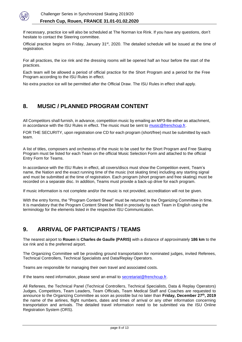

If necessary, practice ice will also be scheduled at The Norman Ice Rink. If you have any questions, don't hesitate to contact the Steering committee.

Official practice begins on Friday, January 31<sup>st</sup>, 2020. The detailed schedule will be issued at the time of registration.

For all practices, the ice rink and the dressing rooms will be opened half an hour before the start of the practices.

Each team will be allowed a period of official practice for the Short Program and a period for the Free Program according to the ISU Rules in effect.

No extra practice ice will be permitted after the Official Draw. The ISU Rules in effect shall apply.

# **8. MUSIC / PLANNED PROGRAM CONTENT**

All Competitors shall furnish, in advance, competition music by emailing an MP3-file either as attachment, in accordance with the ISU Rules in effect. The music must be sent to music@frenchcup.fr.

FOR THE SECURITY, upon registration one CD for each program (short/free) must be submitted by each team.

A list of titles, composers and orchestras of the music to be used for the Short Program and Free Skating Program must be listed for each Team on the official Music Selection Form and attached to the official Entry Form for Teams.

In accordance with the ISU Rules in effect, all covers/discs must show the Competition event, Team's name, the Nation and the exact running time of the music (not skating time) including any starting signal and must be submitted at the time of registration. Each program (short program and free skating) must be recorded on a separate disc. In addition, Teams must provide a back-up drive for each program.

If music information is not complete and/or the music is not provided, accreditation will not be given.

With the entry forms, the "Program Content Sheet" must be returned to the Organizing Committee in time. It is mandatory that the Program Content Sheet be filled in precisely by each Team in English using the terminology for the elements listed in the respective ISU Communication.

# **9. ARRIVAL OF PARTICIPANTS / TEAMS**

The nearest airport to **Rouen** is **Charles de Gaulle (PARIS)** with a distance of approximately **186 km** to the ice rink and is the preferred airport.

The Organizing Committee will be providing ground transportation for nominated judges, invited Referees, Technical Controllers, Technical Specialists and Data/Replay Operators.

Teams are responsible for managing their own travel and associated costs.

If the teams need information, please send an email to secretariat@frenchcup.fr.

All Referees, the Technical Panel (Technical Controllers, Technical Specialists, Data & Replay Operators) Judges, Competitors, Team Leaders, Team Officials, Team Medical Staff and Coaches are requested to announce to the Organizing Committee as soon as possible but no later than **Friday, December 27th, 2019** the name of the airlines, flight numbers, dates and times of arrival or any other information concerning transportation and arrivals. The detailed travel information need to be submitted via the ISU Online Registration System (ORS).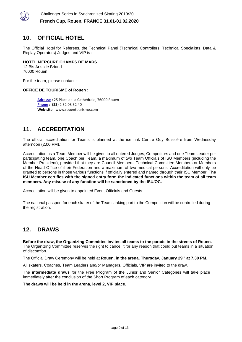

# **10. OFFICIAL HOTEL**

The Official Hotel for Referees, the Technical Panel (Technical Controllers, Technical Specialists, Data & Replay Operators) Judges and VIP is :

#### **HOTEL MERCURE CHAMPS DE MARS**

12 Bis Aristide Briand 76000 Rouen

For the team, please contact :

#### **OFFICE DE TOURISME of Rouen :**

**[Adresse](https://www.google.com/search?client=safari&rls=en&q=office+de+tourisme+de+rouen+adresse&stick=H4sIAAAAAAAAAOPgE-LWT9c3LM8wSTMxNdKSzU620s_JT04syczPgzOsElNSilKLixexKuenpWUmpyqkpCqU5JcWZRbngtlF-aWpeQqJYEWpADbCWstUAAAA&ludocid=2890988955949065790&sa=X&ved=2ahUKEwivkODg9YDlAhUDqxoKHVejCBQQ6BMwEHoECBAQAw) :** 25 Place de la Cathédrale, 76000 Rouen **[Phone](https://www.google.com/search?client=safari&rls=en&q=office+de+tourisme+de+rouen+t%C3%A9l%C3%A9phone&ludocid=2890988955949065790&sa=X&ved=2ahUKEwivkODg9YDlAhUDqxoKHVejCBQQ6BMwEnoECBAQDg) : (33)** 2 32 08 32 40 **Web-site** : www.rouentourisme.com

# **11. ACCREDITATION**

The official accreditation for Teams is planned at the ice rink Centre Guy Boissière from Wednesday afternoon (2.00 PM).

Accreditation as a Team Member will be given to all entered Judges, Competitors and one Team Leader per participating team, one Coach per Team, a maximum of two Team Officials of ISU Members (including the Member President), provided that they are Council Members, Technical Committee Members or Members of the Head Office of their Federation and a maximum of two medical persons. Accreditation will only be granted to persons in those various functions if officially entered and named through their ISU Member. **The ISU Member certifies with the signed entry form the indicated functions within the team of all team members. Any misuse of any function will be sanctioned by the ISU/OC.**

Accreditation will be given to appointed Event Officials and Guests.

The national passport for each skater of the Teams taking part to the Competition will be controlled during the registration.

# **12. DRAWS**

**Before the draw, the Organizing Committee invites all teams to the parade in the streets of Rouen.**  The Organizing Committee reserves the right to cancel it for any reason that could put teams in a situation of discomfort.

The Official Draw Ceremony will be held at **Rouen, in the arena, Thursday, January 29th at 7.30 PM**.

All skaters, Coaches, Team Leaders and/or Managers, Officials, VIP are invited to the draw.

The **intermediate draws** for the Free Program of the Junior and Senior Categories will take place immediately after the conclusion of the Short Program of each category.

**The draws will be held in the arena, level 2, VIP place.**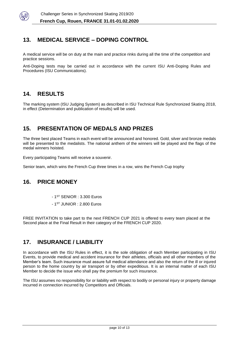

# **13. MEDICAL SERVICE – DOPING CONTROL**

A medical service will be on duty at the main and practice rinks during all the time of the competition and practice sessions.

Anti-Doping tests may be carried out in accordance with the current ISU Anti-Doping Rules and Procedures (ISU Communications).

# **14. RESULTS**

The marking system (ISU Judging System) as described in ISU Technical Rule Synchronized Skating 2018, in effect (Determination and publication of results) will be used.

# **15. PRESENTATION OF MEDALS AND PRIZES**

The three best placed Teams in each event will be announced and honored. Gold, silver and bronze medals will be presented to the medalists. The national anthem of the winners will be played and the flags of the medal winners hoisted.

Every participating Teams will receive a souvenir.

Senior team, which wins the French Cup three times in a row, wins the French Cup trophy

# **16. PRICE MONEY**

- 1 ST SENIOR : 3.300 Euros
- 1 ST JUNIOR : 2.800 Euros

FREE INVITATION to take part to the next FRENCH CUP 2021 is offered to every team placed at the Second place at the Final Result in their category of the FRENCH CUP 2020.

# **17. INSURANCE / LIABILITY**

In accordance with the ISU Rules in effect, it is the sole obligation of each Member participating in ISU Events, to provide medical and accident insurance for their athletes, officials and all other members of the Member's team. Such insurance must assure full medical attendance and also the return of the ill or injured person to the home country by air transport or by other expeditious. It is an internal matter of each ISU Member to decide the issue who shall pay the premium for such insurance.

The ISU assumes no responsibility for or liability with respect to bodily or personal injury or property damage incurred in connection incurred by Competitors and Officials.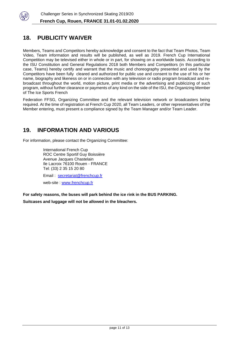

# **18. PUBLICITY WAIVER**

Members, Teams and Competitors hereby acknowledge and consent to the fact that Team Photos, Team Video, Team information and results will be published, as well as 2019. French Cup International Competition may be televised either in whole or in part, for showing on a worldwide basis. According to the ISU Constitution and General Regulations 2018 both Members and Competitors (in this particular case, Teams) hereby certify and warrant that the music and choreography presented and used by the Competitors have been fully cleared and authorized for public use and consent to the use of his or her name, biography and likeness on or in connection with any television or radio program broadcast and rebroadcast throughout the world, motion picture, print media or the advertising and publicizing of such program, without further clearance or payments of any kind on the side of the ISU, the Organizing Member of The Ice Sports French

Federation FFSG, Organizing Committee and the relevant television network or broadcasters being required. At the time of registration at French Cup 2020, all Team Leaders, or other representatives of the Member entering, must present a compliance signed by the Team Manager and/or Team Leader.

# **19. INFORMATION AND VARIOUS**

For information, please contact the Organizing Committee:

International French Cup ROC Centre Sportif Guy Boissière Avenue Jacques Chastelain Ile Lacroix 76100 Rouen - FRANCE Tel: (33) 2 35 15 20 80 Email : [secretariat@frenchcup.fr](mailto:secretariat@frenchcup.fr)

web-site : [www.frenchcup.fr](http://www.frenchcup.fr/)

**For safety reasons, the buses will park behind the ice rink in the BUS PARKING.** 

**Suitcases and luggage will not be allowed in the bleachers.**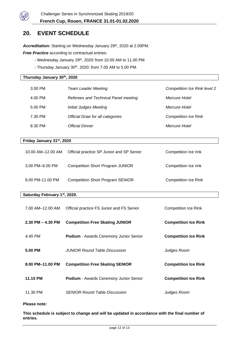

# **20. EVENT SCHEDULE**

Accreditation: Starting on Wednesday January 29<sup>th</sup>, 2020 at 2.00PM.

**Free Practice** according to contractual entries:

- Wednesday January 29<sup>th</sup>, 2020: from 10.00 AM to 11.00 PM
- Thursday January 30<sup>th</sup>, 2020: from 7.00 AM to 5.00 PM.

#### **Thursday January 30th, 2020**

| 3.00 PM | <b>Team Leader Meeting</b>           | <b>Competition Ice Rink level 2</b> |
|---------|--------------------------------------|-------------------------------------|
| 4.00 PM | Referees and Technical Panel meeting | Mercure Hotel                       |
| 5.00 PM | Initial Judges Meeting               | Mercure Hotel                       |
| 7.30 PM | Official Draw for all categories     | <b>Competition Ice Rink</b>         |
| 8.30 PM | <b>Official Dinner</b>               | Mercure Hotel                       |
|         |                                      |                                     |

#### **Friday January 31st, 2020**

| 10.00 AM-12.00 AM | Official practice SP Junior and SP Senior | Competition Ice rink        |
|-------------------|-------------------------------------------|-----------------------------|
| 3.00 PM-6.00 PM   | <b>Competition Short Program JUNIOR</b>   | Competition Ice rink        |
| 8.00 PM-11.00 PM  | <b>Competition Short Program SENIOR</b>   | <b>Competition Ice Rink</b> |

#### **Saturday February 1st, 2020.**

| 7.00 AM-12.00 AM      | Official practice FS Junior and FS Senior     | Competition Ice Rink        |
|-----------------------|-----------------------------------------------|-----------------------------|
| $2.30$ PM $-$ 4.30 PM | <b>Competition Free Skating JUNIOR</b>        | <b>Competition Ice Rink</b> |
| 4.45 PM               | <b>Podium</b> - Awards Ceremony Junior Senior | <b>Competition Ice Rink</b> |
| 5.00 PM               | <b>JUNIOR Round Table Discussion</b>          |                             |
| 8.00 PM-11.00 PM      | <b>Competition Free Skating SENIOR</b>        | <b>Competition Ice Rink</b> |
| 11.15 PM              | <b>Podium</b> - Awards Ceremony Junior Senior | <b>Competition Ice Rink</b> |
| 11.30 PM              | <b>SENIOR Round Table Discussion</b>          | Judges Room                 |

#### **Please note:**

**This schedule is subject to change and will be updated in accordance with the final number of entries.**